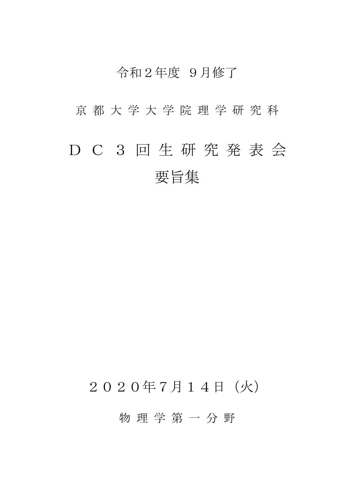### 令和2年度 9月修了

京 都 大 学 大 学 院 理 学 研 究 科

# D C 3 回 生 研 究 発 表 会 要旨集

## 2020年7月14日(火)

物 理 学 第 一 分 野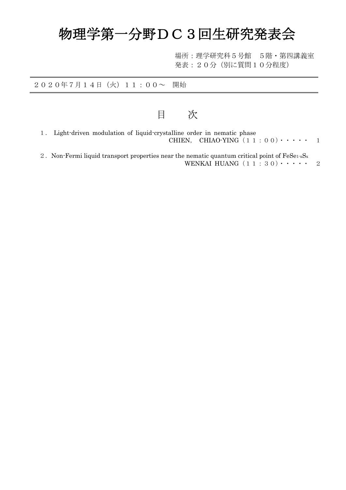# 物理学第一分野DC3回生研究発表会

場所:理学研究科5号館 5階・第四講義室 発表:20分(別に質問10分程度)

2020年7月14日(火)11:00~ 開始

目 次

- 1. Light-driven modulation of liquid-crystalline order in nematic phase CHIEN, CHIAO-YING $(11:00)\cdot\cdot\cdot\cdot$  1
- 2. Non-Fermi liquid transport properties near the nematic quantum critical point of  $FeSe<sub>1-x</sub>S<sub>x</sub>$ WENKAI HUANG $(11:30)\cdot\cdot\cdot\cdot$  2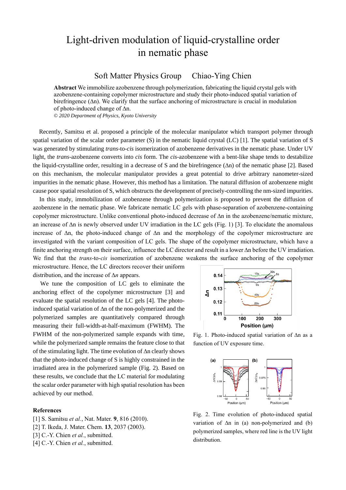### Light-driven modulation of liquid-crystalline order in nematic phase

Soft Matter Physics Group Chiao-Ying Chien

**Abstract** We immobilize azobenzene through polymerization, fabricating the liquid crystal gels with azobenzene-containing copolymer microstructure and study their photo-induced spatial variation of birefringence (∆n). We clarify that the surface anchoring of microstructure is crucial in modulation of photo-induced change of ∆n.

*© 2020 Department of Physics, Kyoto University*

Recently, Samitsu et al. proposed a principle of the molecular manipulator which transport polymer through spatial variation of the scalar order parameter (S) in the nematic liquid crystal (LC) [1]. The spatial variation of S was generated by stimulating *trans*-to-*cis* isomerization of azobenzene derivatives in the nematic phase. Under UV light, the *trans*-azobenzene converts into *cis* form. The *cis*-azobenzene with a bent-like shape tends to destabilize the liquid-crystalline order, resulting in a decrease of S and the birefringence (∆n) of the nematic phase [2]. Based on this mechanism, the molecular manipulator provides a great potential to drive arbitrary nanometer-sized impurities in the nematic phase. However, this method has a limitation. The natural diffusion of azobenzene might cause poor spatial resolution of S, which obstructs the development of precisely-controlling the nm-sized impurities.

In this study, immobilization of azobenzene through polymerization is proposed to prevent the diffusion of azobenzene in the nematic phase. We fabricate nematic LC gels with phase-separation of azobenzene-containing copolymer microstructure. Unlike conventional photo-induced decrease of ∆n in the azobenzene/nematic mixture, an increase of ∆n is newly observed under UV irradiation in the LC gels (Fig. 1) [3]. To elucidate the anomalous increase of ∆n, the photo-induced change of ∆n and the morphology of the copolymer microstructure are investigated with the variant composition of LC gels. The shape of the copolymer microstructure, which have a finite anchoring strength on their surface, influence the LC director and result in a lower ∆n before the UV irradiation. We find that the *trans*-to-*cis* isomerization of azobenzene weakens the surface anchoring of the copolymer

microstructure. Hence, the LC directors recover their uniform distribution, and the increase of ∆*n* appears.

We tune the composition of LC gels to eliminate the anchoring effect of the copolymer microstructure [3] and evaluate the spatial resolution of the LC gels [4]. The photoinduced spatial variation of ∆n of the non-polymerized and the polymerized samples are quantitatively compared through measuring their full-width-at-half-maximum (FWHM). The FWHM of the non-polymerized sample expands with time, while the polymerized sample remains the feature close to that of the stimulating light. The time evolution of ∆n clearly shows that the photo-induced change of S is highly constrained in the irradiated area in the polymerized sample (Fig. 2). Based on these results, we conclude that the LC material for modulating the scalar order parameter with high spatial resolution has been achieved by our method.

#### **References**

- [1] S. Samitsu *et al.*, Nat. Mater. **9**, 816 (2010).
- [2] T. Ikeda, J. Mater. Chem. **13**, 2037 (2003).
- [3] C.-Y. Chien *et al.*, submitted.
- [4] C.-Y. Chien *et al.*, submitted.



Fig. 1. Photo-induced spatial variation of ∆n as a function of UV exposure time.



Fig. 2. Time evolution of photo-induced spatial variation of ∆n in (a) non-polymerized and (b) polymerized samples, where red line is the UV light distribution.